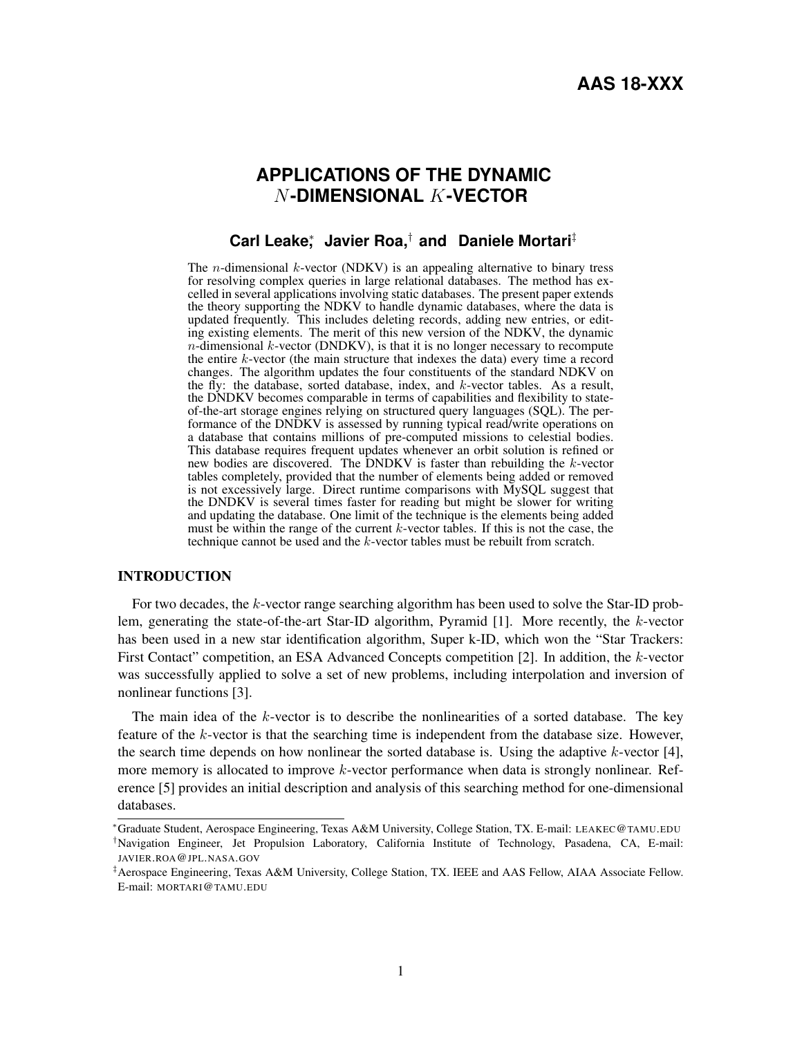# **APPLICATIONS OF THE DYNAMIC** N**-DIMENSIONAL** K**-VECTOR**

# **Carl Leake**<sup>∗</sup> **, Javier Roa,**† **and Daniele Mortari**‡

The *n*-dimensional  $k$ -vector (NDKV) is an appealing alternative to binary tress for resolving complex queries in large relational databases. The method has excelled in several applications involving static databases. The present paper extends the theory supporting the NDKV to handle dynamic databases, where the data is updated frequently. This includes deleting records, adding new entries, or editing existing elements. The merit of this new version of the NDKV, the dynamic  $n$ -dimensional  $k$ -vector (DNDKV), is that it is no longer necessary to recompute the entire  $k$ -vector (the main structure that indexes the data) every time a record changes. The algorithm updates the four constituents of the standard NDKV on the fly: the database, sorted database, index, and  $k$ -vector tables. As a result, the DNDKV becomes comparable in terms of capabilities and flexibility to stateof-the-art storage engines relying on structured query languages (SQL). The performance of the DNDKV is assessed by running typical read/write operations on a database that contains millions of pre-computed missions to celestial bodies. This database requires frequent updates whenever an orbit solution is refined or new bodies are discovered. The DNDKV is faster than rebuilding the  $k$ -vector tables completely, provided that the number of elements being added or removed is not excessively large. Direct runtime comparisons with MySQL suggest that the DNDKV is several times faster for reading but might be slower for writing and updating the database. One limit of the technique is the elements being added must be within the range of the current  $k$ -vector tables. If this is not the case, the technique cannot be used and the k-vector tables must be rebuilt from scratch.

## INTRODUCTION

For two decades, the k-vector range searching algorithm has been used to solve the Star-ID problem, generating the state-of-the-art Star-ID algorithm, Pyramid  $[1]$ . More recently, the k-vector has been used in a new star identification algorithm, Super k-ID, which won the "Star Trackers: First Contact" competition, an ESA Advanced Concepts competition [2]. In addition, the k-vector was successfully applied to solve a set of new problems, including interpolation and inversion of nonlinear functions [3].

The main idea of the k-vector is to describe the nonlinearities of a sorted database. The key feature of the k-vector is that the searching time is independent from the database size. However, the search time depends on how nonlinear the sorted database is. Using the adaptive  $k$ -vector [4], more memory is allocated to improve  $k$ -vector performance when data is strongly nonlinear. Reference [5] provides an initial description and analysis of this searching method for one-dimensional databases.

<sup>∗</sup>Graduate Student, Aerospace Engineering, Texas A&M University, College Station, TX. E-mail: LEAKEC@TAMU.EDU

<sup>†</sup>Navigation Engineer, Jet Propulsion Laboratory, California Institute of Technology, Pasadena, CA, E-mail: JAVIER.ROA@JPL.NASA.GOV

<sup>‡</sup>Aerospace Engineering, Texas A&M University, College Station, TX. IEEE and AAS Fellow, AIAA Associate Fellow. E-mail: MORTARI@TAMU.EDU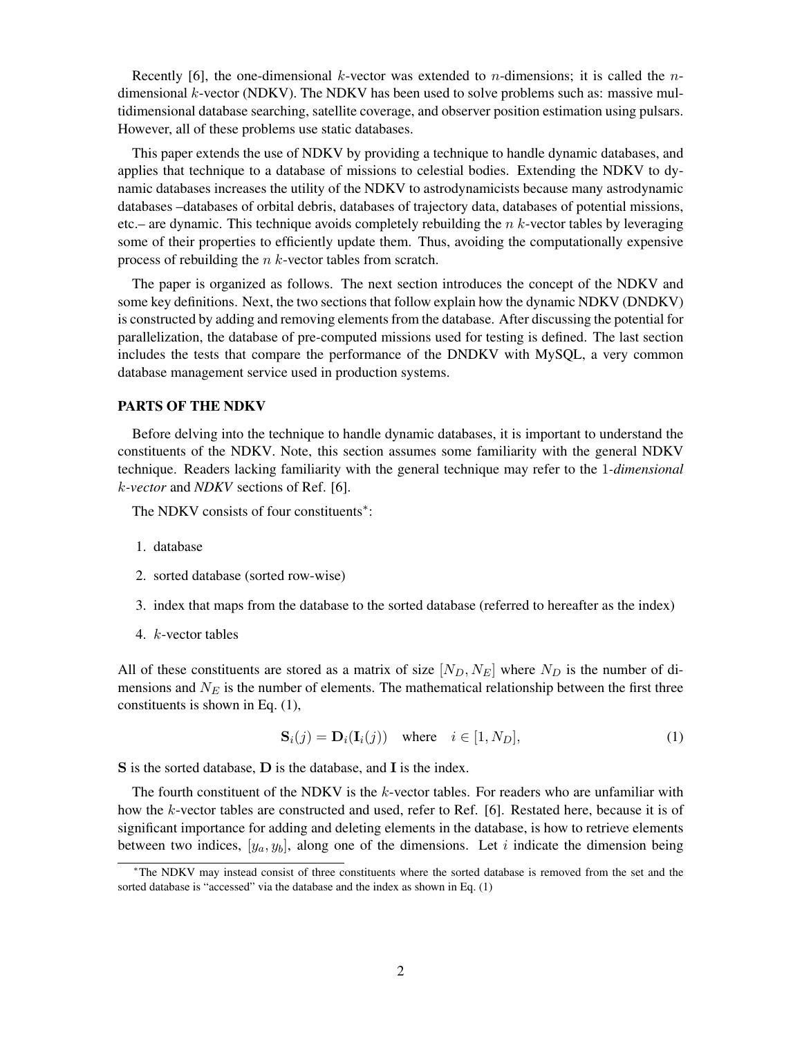Recently [6], the one-dimensional k-vector was extended to *n*-dimensions; it is called the *n*dimensional  $k$ -vector (NDKV). The NDKV has been used to solve problems such as: massive multidimensional database searching, satellite coverage, and observer position estimation using pulsars. However, all of these problems use static databases.

This paper extends the use of NDKV by providing a technique to handle dynamic databases, and applies that technique to a database of missions to celestial bodies. Extending the NDKV to dynamic databases increases the utility of the NDKV to astrodynamicists because many astrodynamic databases –databases of orbital debris, databases of trajectory data, databases of potential missions, etc.– are dynamic. This technique avoids completely rebuilding the  $n$  k-vector tables by leveraging some of their properties to efficiently update them. Thus, avoiding the computationally expensive process of rebuilding the  $n$  k-vector tables from scratch.

The paper is organized as follows. The next section introduces the concept of the NDKV and some key definitions. Next, the two sections that follow explain how the dynamic NDKV (DNDKV) is constructed by adding and removing elements from the database. After discussing the potential for parallelization, the database of pre-computed missions used for testing is defined. The last section includes the tests that compare the performance of the DNDKV with MySQL, a very common database management service used in production systems.

#### PARTS OF THE NDKV

Before delving into the technique to handle dynamic databases, it is important to understand the constituents of the NDKV. Note, this section assumes some familiarity with the general NDKV technique. Readers lacking familiarity with the general technique may refer to the 1*-dimensional* k*-vector* and *NDKV* sections of Ref. [6].

The NDKV consists of four constituents\*:

- 1. database
- 2. sorted database (sorted row-wise)
- 3. index that maps from the database to the sorted database (referred to hereafter as the index)
- 4. k-vector tables

All of these constituents are stored as a matrix of size  $[N_D, N_E]$  where  $N_D$  is the number of dimensions and  $N_E$  is the number of elements. The mathematical relationship between the first three constituents is shown in Eq. (1),

$$
\mathbf{S}_{i}(j) = \mathbf{D}_{i}(\mathbf{I}_{i}(j)) \quad \text{where} \quad i \in [1, N_{D}], \tag{1}
$$

S is the sorted database, D is the database, and I is the index.

The fourth constituent of the NDKV is the  $k$ -vector tables. For readers who are unfamiliar with how the k-vector tables are constructed and used, refer to Ref. [6]. Restated here, because it is of significant importance for adding and deleting elements in the database, is how to retrieve elements between two indices,  $[y_a, y_b]$ , along one of the dimensions. Let i indicate the dimension being

<sup>∗</sup>The NDKV may instead consist of three constituents where the sorted database is removed from the set and the sorted database is "accessed" via the database and the index as shown in Eq. (1)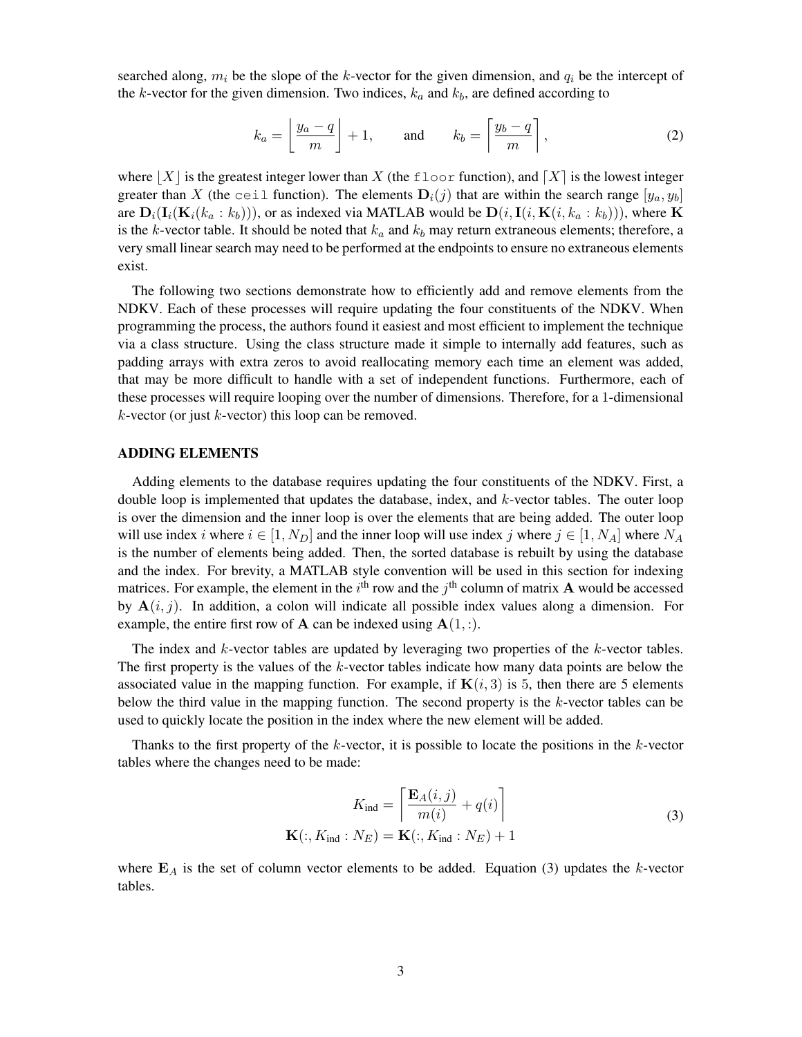searched along,  $m_i$  be the slope of the k-vector for the given dimension, and  $q_i$  be the intercept of the k-vector for the given dimension. Two indices,  $k_a$  and  $k_b$ , are defined according to

$$
k_a = \left\lfloor \frac{y_a - q}{m} \right\rfloor + 1, \quad \text{and} \quad k_b = \left\lceil \frac{y_b - q}{m} \right\rceil, \tag{2}
$$

where  $|X|$  is the greatest integer lower than X (the floor function), and  $|X|$  is the lowest integer greater than X (the ceil function). The elements  $D_i(j)$  that are within the search range  $[y_a, y_b]$ are  $\mathbf{D}_i(\mathbf{I}_i(\mathbf{K}_i(k_a : k_b))),$  or as indexed via MATLAB would be  $\mathbf{D}(i, \mathbf{I}(i, \mathbf{K}(i, k_a : k_b))),$  where K is the k-vector table. It should be noted that  $k_a$  and  $k_b$  may return extraneous elements; therefore, a very small linear search may need to be performed at the endpoints to ensure no extraneous elements exist.

The following two sections demonstrate how to efficiently add and remove elements from the NDKV. Each of these processes will require updating the four constituents of the NDKV. When programming the process, the authors found it easiest and most efficient to implement the technique via a class structure. Using the class structure made it simple to internally add features, such as padding arrays with extra zeros to avoid reallocating memory each time an element was added, that may be more difficult to handle with a set of independent functions. Furthermore, each of these processes will require looping over the number of dimensions. Therefore, for a 1-dimensional  $k$ -vector (or just  $k$ -vector) this loop can be removed.

#### ADDING ELEMENTS

Adding elements to the database requires updating the four constituents of the NDKV. First, a double loop is implemented that updates the database, index, and  $k$ -vector tables. The outer loop is over the dimension and the inner loop is over the elements that are being added. The outer loop will use index i where  $i \in [1, N_D]$  and the inner loop will use index j where  $j \in [1, N_A]$  where  $N_A$ is the number of elements being added. Then, the sorted database is rebuilt by using the database and the index. For brevity, a MATLAB style convention will be used in this section for indexing matrices. For example, the element in the  $i^{\text{th}}$  row and the  $j^{\text{th}}$  column of matrix **A** would be accessed by  $A(i, j)$ . In addition, a colon will indicate all possible index values along a dimension. For example, the entire first row of **A** can be indexed using  $A(1, :)$ .

The index and  $k$ -vector tables are updated by leveraging two properties of the  $k$ -vector tables. The first property is the values of the  $k$ -vector tables indicate how many data points are below the associated value in the mapping function. For example, if  $\mathbf{K}(i, 3)$  is 5, then there are 5 elements below the third value in the mapping function. The second property is the  $k$ -vector tables can be used to quickly locate the position in the index where the new element will be added.

Thanks to the first property of the  $k$ -vector, it is possible to locate the positions in the  $k$ -vector tables where the changes need to be made:

$$
K_{\text{ind}} = \left[ \frac{\mathbf{E}_A(i,j)}{m(i)} + q(i) \right]
$$
  

$$
\mathbf{K}(:, K_{\text{ind}} : N_E) = \mathbf{K}(:, K_{\text{ind}} : N_E) + 1
$$
 (3)

where  $\mathbf{E}_A$  is the set of column vector elements to be added. Equation (3) updates the k-vector tables.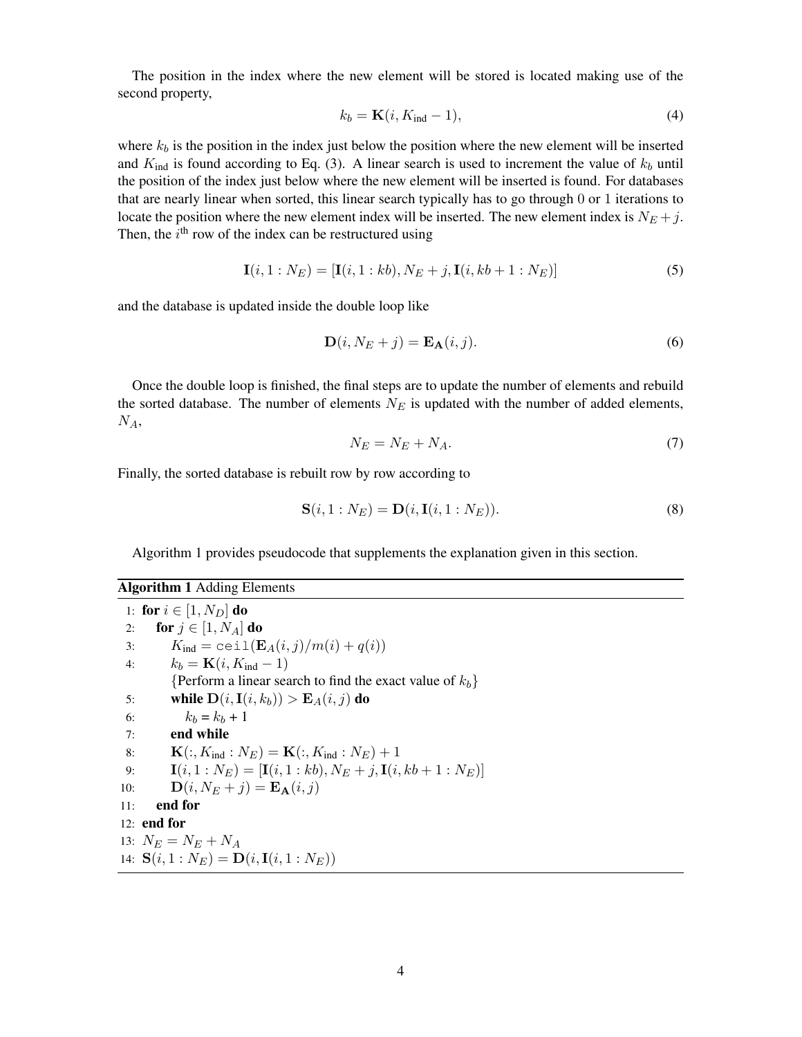The position in the index where the new element will be stored is located making use of the second property,

$$
k_b = \mathbf{K}(i, K_{\text{ind}} - 1),\tag{4}
$$

where  $k_b$  is the position in the index just below the position where the new element will be inserted and  $K_{\text{ind}}$  is found according to Eq. (3). A linear search is used to increment the value of  $k_b$  until the position of the index just below where the new element will be inserted is found. For databases that are nearly linear when sorted, this linear search typically has to go through 0 or 1 iterations to locate the position where the new element index will be inserted. The new element index is  $N_E + j$ . Then, the  $i^{\text{th}}$  row of the index can be restructured using

$$
\mathbf{I}(i, 1: N_E) = [\mathbf{I}(i, 1: kb), N_E + j, \mathbf{I}(i, kb + 1: N_E)]
$$
\n(5)

and the database is updated inside the double loop like

$$
\mathbf{D}(i, N_E + j) = \mathbf{E}_{\mathbf{A}}(i, j). \tag{6}
$$

Once the double loop is finished, the final steps are to update the number of elements and rebuild the sorted database. The number of elements  $N_E$  is updated with the number of added elements,  $N_A$ 

$$
N_E = N_E + N_A. \t\t(7)
$$

Finally, the sorted database is rebuilt row by row according to

$$
\mathbf{S}(i,1:N_E) = \mathbf{D}(i,\mathbf{I}(i,1:N_E)).
$$
\n(8)

Algorithm 1 provides pseudocode that supplements the explanation given in this section.

| <b>Algorithm 1 Adding Elements</b>                                  |
|---------------------------------------------------------------------|
| 1: for $i \in [1, N_D]$ do                                          |
| for $j \in [1, N_A]$ do<br>2:                                       |
| $K_{\text{ind}} = \text{ceil}(E_A(i,j)/m(i) + q(i))$<br>3:          |
| $k_b = \mathbf{K}(i, K_{\text{ind}} - 1)$<br>4:                     |
| {Perform a linear search to find the exact value of $k_b$ }         |
| while $D(i, I(i, k_b)) > E_A(i, j)$ do<br>5:                        |
| $k_b = k_b + 1$<br>6:                                               |
| end while<br>7:                                                     |
| ${\bf K}(:,K_{\rm ind}:N_E)={\bf K}(:,K_{\rm ind}:N_E)+1$<br>8:     |
| $I(i, 1 : N_E) = [I(i, 1 : kb), N_E + j, I(i, kb + 1 : N_E)]$<br>9: |
| $\mathbf{D}(i, N_E + i) = \mathbf{E}_{\mathbf{A}}(i, i)$<br>10:     |
| end for<br>11:                                                      |
| 12: end for                                                         |
| 13: $N_E = N_E + N_A$                                               |
| 14: $S(i, 1 : N_E) = D(i, I(i, 1 : N_E))$                           |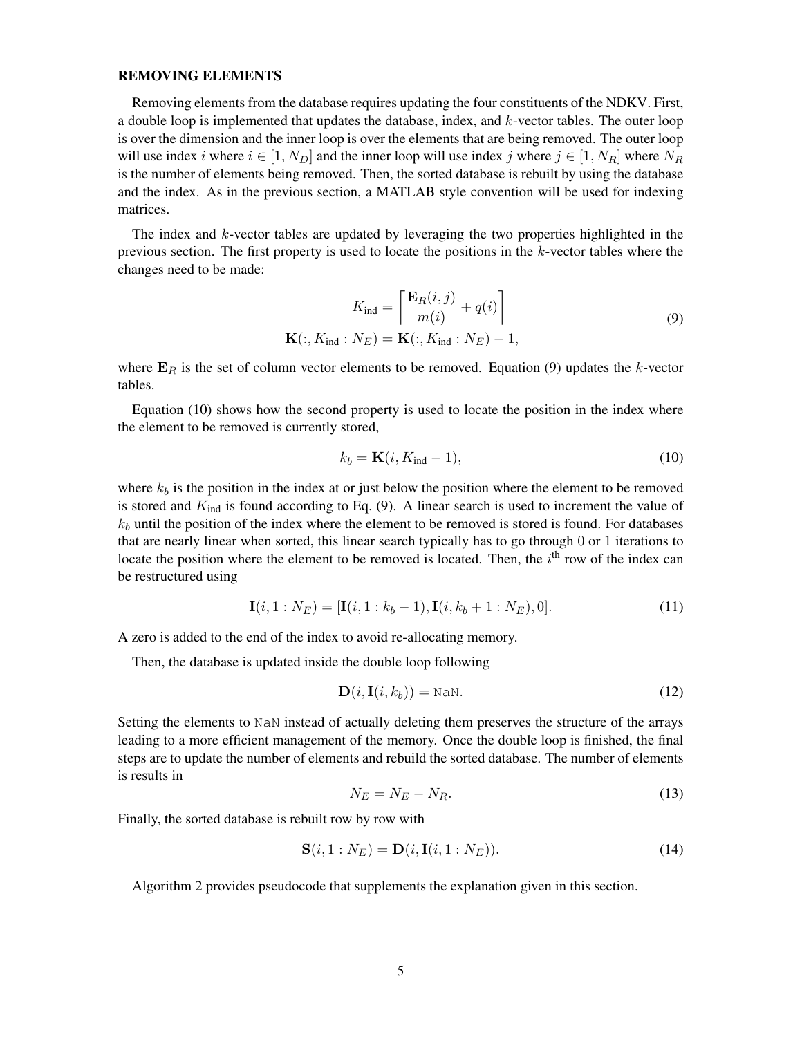#### REMOVING ELEMENTS

Removing elements from the database requires updating the four constituents of the NDKV. First, a double loop is implemented that updates the database, index, and k-vector tables. The outer loop is over the dimension and the inner loop is over the elements that are being removed. The outer loop will use index i where  $i \in [1, N_D]$  and the inner loop will use index j where  $j \in [1, N_R]$  where  $N_R$ is the number of elements being removed. Then, the sorted database is rebuilt by using the database and the index. As in the previous section, a MATLAB style convention will be used for indexing matrices.

The index and k-vector tables are updated by leveraging the two properties highlighted in the previous section. The first property is used to locate the positions in the  $k$ -vector tables where the changes need to be made:

$$
K_{\text{ind}} = \left[ \frac{\mathbf{E}_R(i,j)}{m(i)} + q(i) \right]
$$
  

$$
\mathbf{K}(:, K_{\text{ind}} : N_E) = \mathbf{K}(:, K_{\text{ind}} : N_E) - 1,
$$
 (9)

where  $E_R$  is the set of column vector elements to be removed. Equation (9) updates the k-vector tables.

Equation (10) shows how the second property is used to locate the position in the index where the element to be removed is currently stored,

$$
k_b = \mathbf{K}(i, K_{\text{ind}} - 1),\tag{10}
$$

where  $k_b$  is the position in the index at or just below the position where the element to be removed is stored and  $K_{ind}$  is found according to Eq. (9). A linear search is used to increment the value of  $k_b$  until the position of the index where the element to be removed is stored is found. For databases that are nearly linear when sorted, this linear search typically has to go through 0 or 1 iterations to locate the position where the element to be removed is located. Then, the  $i<sup>th</sup>$  row of the index can be restructured using

$$
\mathbf{I}(i, 1: N_E) = [\mathbf{I}(i, 1: k_b - 1), \mathbf{I}(i, k_b + 1: N_E), 0].
$$
\n(11)

A zero is added to the end of the index to avoid re-allocating memory.

Then, the database is updated inside the double loop following

$$
\mathbf{D}(i, \mathbf{I}(i, k_b)) = \text{NaN.}
$$
 (12)

Setting the elements to NaN instead of actually deleting them preserves the structure of the arrays leading to a more efficient management of the memory. Once the double loop is finished, the final steps are to update the number of elements and rebuild the sorted database. The number of elements is results in

$$
N_E = N_E - N_R. \tag{13}
$$

Finally, the sorted database is rebuilt row by row with

$$
\mathbf{S}(i,1:N_E) = \mathbf{D}(i,\mathbf{I}(i,1:N_E)).
$$
\n(14)

Algorithm 2 provides pseudocode that supplements the explanation given in this section.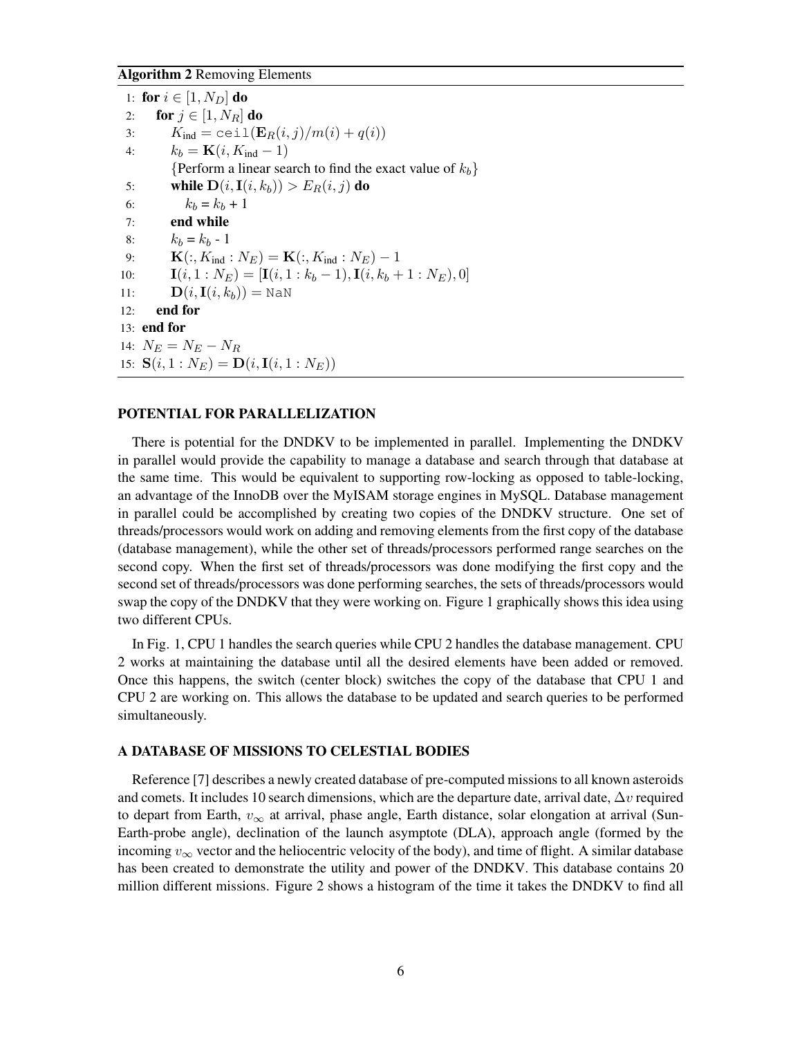#### Algorithm 2 Removing Elements

|     | 1: for $i \in [1, N_D]$ do                                              |
|-----|-------------------------------------------------------------------------|
| 2:  | for $j \in [1, N_R]$ do                                                 |
| 3:  | $K_{\text{ind}} = \text{ceil}(E_R(i, j)/m(i) + q(i))$                   |
| 4:  | $k_b = \mathbf{K}(i, K_{\text{ind}} - 1)$                               |
|     | {Perform a linear search to find the exact value of $k_b$ }             |
| 5:  | while $D(i, I(i, k_b)) > E_R(i, j)$ do                                  |
| 6:  | $k_b = k_b + 1$                                                         |
| 7:  | end while                                                               |
| 8:  | $k_b = k_b - 1$                                                         |
| 9:  | ${\bf K}(:, K_{\text{ind}}: N_E) = {\bf K}(:, K_{\text{ind}}: N_E) - 1$ |
| 10: | $I(i, 1 : N_E) = [I(i, 1 : k_b - 1), I(i, k_b + 1 : N_E), 0]$           |
| 11: | $\mathbf{D}(i,\mathbf{I}(i,k_h)) = \text{NaN}$                          |
| 12: | end for                                                                 |
|     | $13:$ end for                                                           |
|     | 14: $N_E = N_E - N_B$                                                   |
|     | 15: $S(i, 1 : N_E) = D(i, I(i, 1 : N_E))$                               |

### POTENTIAL FOR PARALLELIZATION

There is potential for the DNDKV to be implemented in parallel. Implementing the DNDKV in parallel would provide the capability to manage a database and search through that database at the same time. This would be equivalent to supporting row-locking as opposed to table-locking, an advantage of the InnoDB over the MyISAM storage engines in MySQL. Database management in parallel could be accomplished by creating two copies of the DNDKV structure. One set of threads/processors would work on adding and removing elements from the first copy of the database (database management), while the other set of threads/processors performed range searches on the second copy. When the first set of threads/processors was done modifying the first copy and the second set of threads/processors was done performing searches, the sets of threads/processors would swap the copy of the DNDKV that they were working on. Figure 1 graphically shows this idea using two different CPUs.

In Fig. 1, CPU 1 handles the search queries while CPU 2 handles the database management. CPU 2 works at maintaining the database until all the desired elements have been added or removed. Once this happens, the switch (center block) switches the copy of the database that CPU 1 and CPU 2 are working on. This allows the database to be updated and search queries to be performed simultaneously.

#### A DATABASE OF MISSIONS TO CELESTIAL BODIES

Reference [7] describes a newly created database of pre-computed missions to all known asteroids and comets. It includes 10 search dimensions, which are the departure date, arrival date,  $\Delta v$  required to depart from Earth,  $v_{\infty}$  at arrival, phase angle, Earth distance, solar elongation at arrival (Sun-Earth-probe angle), declination of the launch asymptote (DLA), approach angle (formed by the incoming  $v_{\infty}$  vector and the heliocentric velocity of the body), and time of flight. A similar database has been created to demonstrate the utility and power of the DNDKV. This database contains 20 million different missions. Figure 2 shows a histogram of the time it takes the DNDKV to find all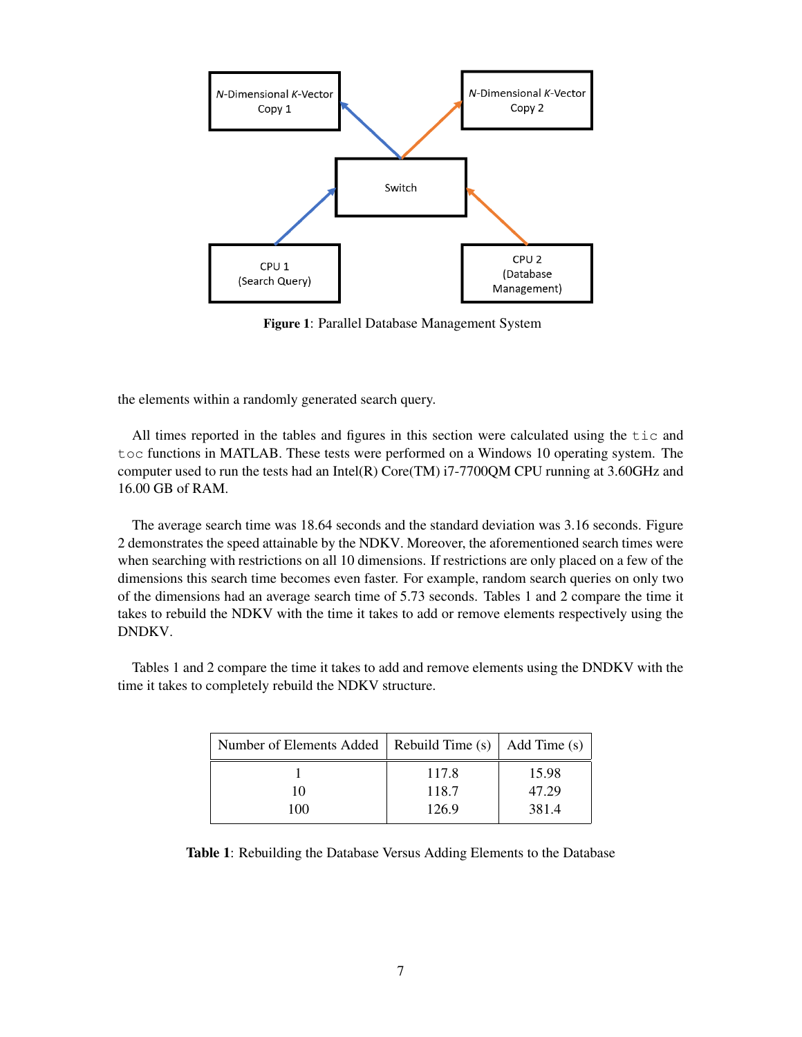

Figure 1: Parallel Database Management System

the elements within a randomly generated search query.

All times reported in the tables and figures in this section were calculated using the tic and toc functions in MATLAB. These tests were performed on a Windows 10 operating system. The computer used to run the tests had an Intel(R) Core(TM)  $i7$ -7700QM CPU running at 3.60GHz and 16.00 GB of RAM.

The average search time was 18.64 seconds and the standard deviation was 3.16 seconds. Figure 2 demonstrates the speed attainable by the NDKV. Moreover, the aforementioned search times were when searching with restrictions on all 10 dimensions. If restrictions are only placed on a few of the dimensions this search time becomes even faster. For example, random search queries on only two of the dimensions had an average search time of 5.73 seconds. Tables 1 and 2 compare the time it takes to rebuild the NDKV with the time it takes to add or remove elements respectively using the DNDKV.

Tables 1 and 2 compare the time it takes to add and remove elements using the DNDKV with the time it takes to completely rebuild the NDKV structure.

| Number of Elements Added   Rebuild Time (s)   Add Time (s) |                         |                         |  |
|------------------------------------------------------------|-------------------------|-------------------------|--|
| 10<br>100                                                  | 117.8<br>118.7<br>126.9 | 15.98<br>47.29<br>381.4 |  |

Table 1: Rebuilding the Database Versus Adding Elements to the Database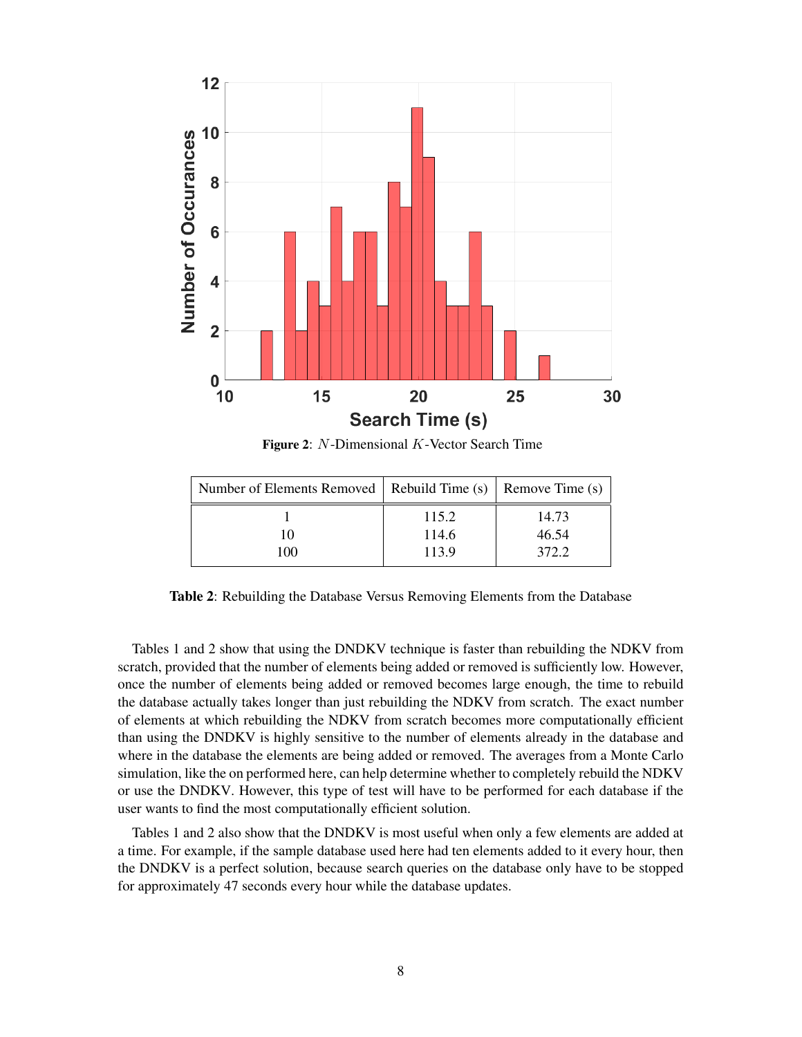

Figure 2: N-Dimensional K-Vector Search Time

| Number of Elements Removed   Rebuild Time (s)   Remove Time (s) |                         |                         |
|-----------------------------------------------------------------|-------------------------|-------------------------|
| 10<br>100                                                       | 115.2<br>114.6<br>113.9 | 14.73<br>46.54<br>372.2 |

Table 2: Rebuilding the Database Versus Removing Elements from the Database

Tables 1 and 2 show that using the DNDKV technique is faster than rebuilding the NDKV from scratch, provided that the number of elements being added or removed is sufficiently low. However, once the number of elements being added or removed becomes large enough, the time to rebuild the database actually takes longer than just rebuilding the NDKV from scratch. The exact number of elements at which rebuilding the NDKV from scratch becomes more computationally efficient than using the DNDKV is highly sensitive to the number of elements already in the database and where in the database the elements are being added or removed. The averages from a Monte Carlo simulation, like the on performed here, can help determine whether to completely rebuild the NDKV or use the DNDKV. However, this type of test will have to be performed for each database if the user wants to find the most computationally efficient solution.

Tables 1 and 2 also show that the DNDKV is most useful when only a few elements are added at a time. For example, if the sample database used here had ten elements added to it every hour, then the DNDKV is a perfect solution, because search queries on the database only have to be stopped for approximately 47 seconds every hour while the database updates.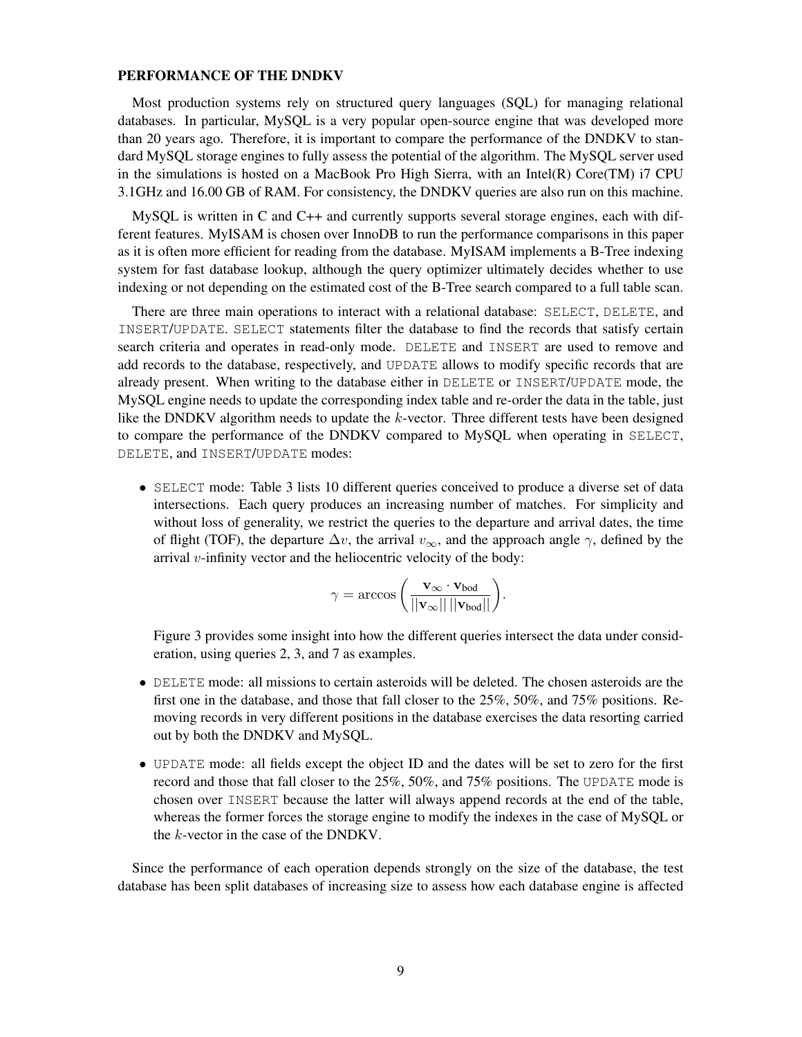#### PERFORMANCE OF THE DNDKV

Most production systems rely on structured query languages (SQL) for managing relational databases. In particular, MySQL is a very popular open-source engine that was developed more than 20 years ago. Therefore, it is important to compare the performance of the DNDKV to standard MySQL storage engines to fully assess the potential of the algorithm. The MySQL server used in the simulations is hosted on a MacBook Pro High Sierra, with an Intel(R) Core(TM) i7 CPU 3.1GHz and 16.00 GB of RAM. For consistency, the DNDKV queries are also run on this machine.

MySQL is written in C and C++ and currently supports several storage engines, each with different features. MyISAM is chosen over InnoDB to run the performance comparisons in this paper as it is often more efficient for reading from the database. MyISAM implements a B-Tree indexing system for fast database lookup, although the query optimizer ultimately decides whether to use indexing or not depending on the estimated cost of the B-Tree search compared to a full table scan.

There are three main operations to interact with a relational database: SELECT, DELETE, and INSERT/UPDATE. SELECT statements filter the database to find the records that satisfy certain search criteria and operates in read-only mode. DELETE and INSERT are used to remove and add records to the database, respectively, and UPDATE allows to modify specific records that are already present. When writing to the database either in DELETE or INSERT/UPDATE mode, the MySQL engine needs to update the corresponding index table and re-order the data in the table, just like the DNDKV algorithm needs to update the k-vector. Three different tests have been designed to compare the performance of the DNDKV compared to MySQL when operating in SELECT, DELETE, and INSERT/UPDATE modes:

• SELECT mode: Table 3 lists 10 different queries conceived to produce a diverse set of data intersections. Each query produces an increasing number of matches. For simplicity and without loss of generality, we restrict the queries to the departure and arrival dates, the time of flight (TOF), the departure  $\Delta v$ , the arrival  $v_{\infty}$ , and the approach angle  $\gamma$ , defined by the arrival  $v$ -infinity vector and the heliocentric velocity of the body:

$$
\gamma = \arccos\left(\frac{\mathbf{v}_{\infty} \cdot \mathbf{v}_{\text{bod}}}{||\mathbf{v}_{\infty}|| \, ||\mathbf{v}_{\text{bod}}||}\right).
$$

Figure 3 provides some insight into how the different queries intersect the data under consideration, using queries 2, 3, and 7 as examples.

- DELETE mode: all missions to certain asteroids will be deleted. The chosen asteroids are the first one in the database, and those that fall closer to the 25%, 50%, and 75% positions. Removing records in very different positions in the database exercises the data resorting carried out by both the DNDKV and MySQL.
- UPDATE mode: all fields except the object ID and the dates will be set to zero for the first record and those that fall closer to the 25%, 50%, and 75% positions. The UPDATE mode is chosen over INSERT because the latter will always append records at the end of the table, whereas the former forces the storage engine to modify the indexes in the case of MySQL or the k-vector in the case of the DNDKV.

Since the performance of each operation depends strongly on the size of the database, the test database has been split databases of increasing size to assess how each database engine is affected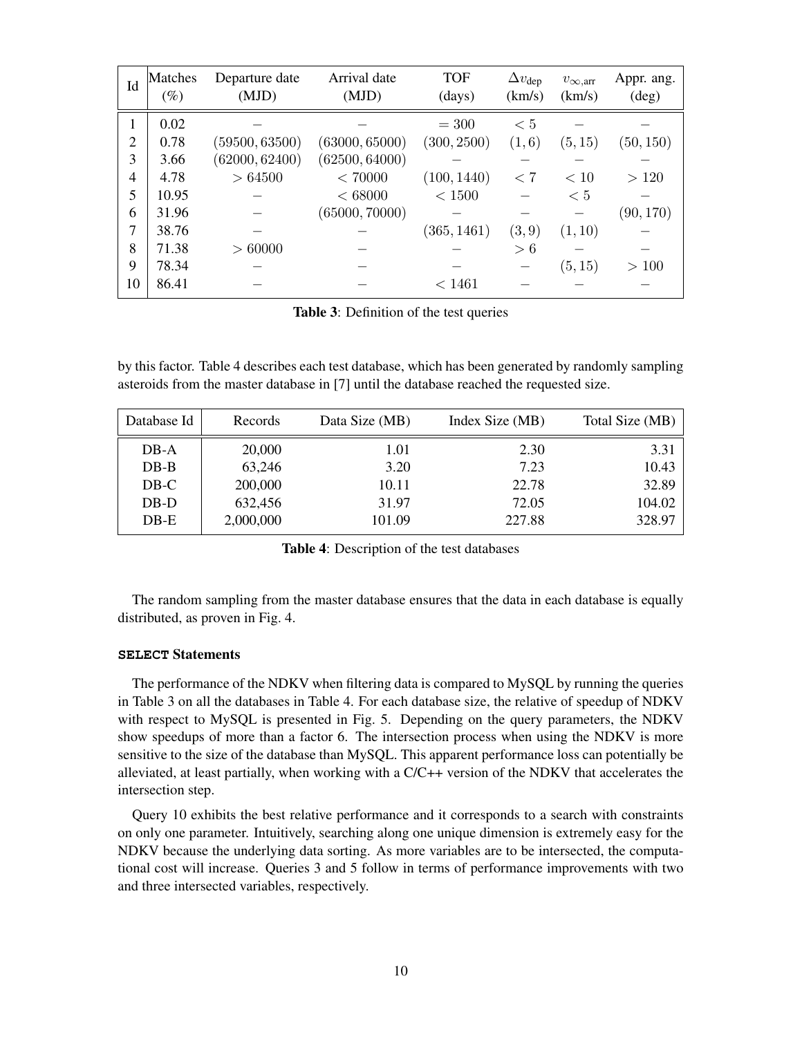| Id             | Matches<br>$(\%)$ | Departure date<br>(MJD) | Arrival date<br>(MJD) | <b>TOF</b><br>(days) | $\Delta v_{\rm dep}$<br>(km/s) | $v_{\infty, arr}$<br>(km/s) | Appr. ang.<br>$(\text{deg})$ |
|----------------|-------------------|-------------------------|-----------------------|----------------------|--------------------------------|-----------------------------|------------------------------|
| 1              | 0.02              |                         |                       | $= 300$              | < 5                            |                             |                              |
| $\overline{2}$ | 0.78              | (59500, 63500)          | (63000, 65000)        | (300, 2500)          | (1,6)                          | (5, 15)                     | (50, 150)                    |
| 3              | 3.66              | (62000, 62400)          | (62500, 64000)        |                      |                                |                             |                              |
| 4              | 4.78              | > 64500                 | < 70000               | (100, 1440)          | < 7                            | < 10                        | >120                         |
| 5              | 10.95             |                         | ${}< 68000$           | < 1500               |                                | < 5                         |                              |
| 6              | 31.96             |                         | (65000, 70000)        |                      |                                |                             | (90, 170)                    |
| 7              | 38.76             |                         |                       | (365, 1461)          | (3, 9)                         | (1, 10)                     |                              |
| 8              | 71.38             | > 60000                 |                       |                      | > 6                            |                             |                              |
| 9              | 78.34             |                         |                       |                      |                                | (5, 15)                     | >100                         |
| 10             | 86.41             |                         |                       | < 1461               |                                |                             |                              |

Table 3: Definition of the test queries

by this factor. Table 4 describes each test database, which has been generated by randomly sampling asteroids from the master database in [7] until the database reached the requested size.

| Database Id | Records   | Data Size (MB) | Index Size (MB) | Total Size (MB) |
|-------------|-----------|----------------|-----------------|-----------------|
| $DB-A$      | 20,000    | 1.01           | 2.30            | 3.31            |
| $DB-B$      | 63,246    | 3.20           | 7.23            | 10.43           |
| $DB-C$      | 200,000   | 10.11          | 22.78           | 32.89           |
| DB-D        | 632,456   | 31.97          | 72.05           | 104.02          |
| $DB-E$      | 2,000,000 | 101.09         | 227.88          | 328.97          |
|             |           |                |                 |                 |

Table 4: Description of the test databases

The random sampling from the master database ensures that the data in each database is equally distributed, as proven in Fig. 4.

#### **SELECT** Statements

The performance of the NDKV when filtering data is compared to MySQL by running the queries in Table 3 on all the databases in Table 4. For each database size, the relative of speedup of NDKV with respect to MySQL is presented in Fig. 5. Depending on the query parameters, the NDKV show speedups of more than a factor 6. The intersection process when using the NDKV is more sensitive to the size of the database than MySQL. This apparent performance loss can potentially be alleviated, at least partially, when working with a C/C++ version of the NDKV that accelerates the intersection step.

Query 10 exhibits the best relative performance and it corresponds to a search with constraints on only one parameter. Intuitively, searching along one unique dimension is extremely easy for the NDKV because the underlying data sorting. As more variables are to be intersected, the computational cost will increase. Queries 3 and 5 follow in terms of performance improvements with two and three intersected variables, respectively.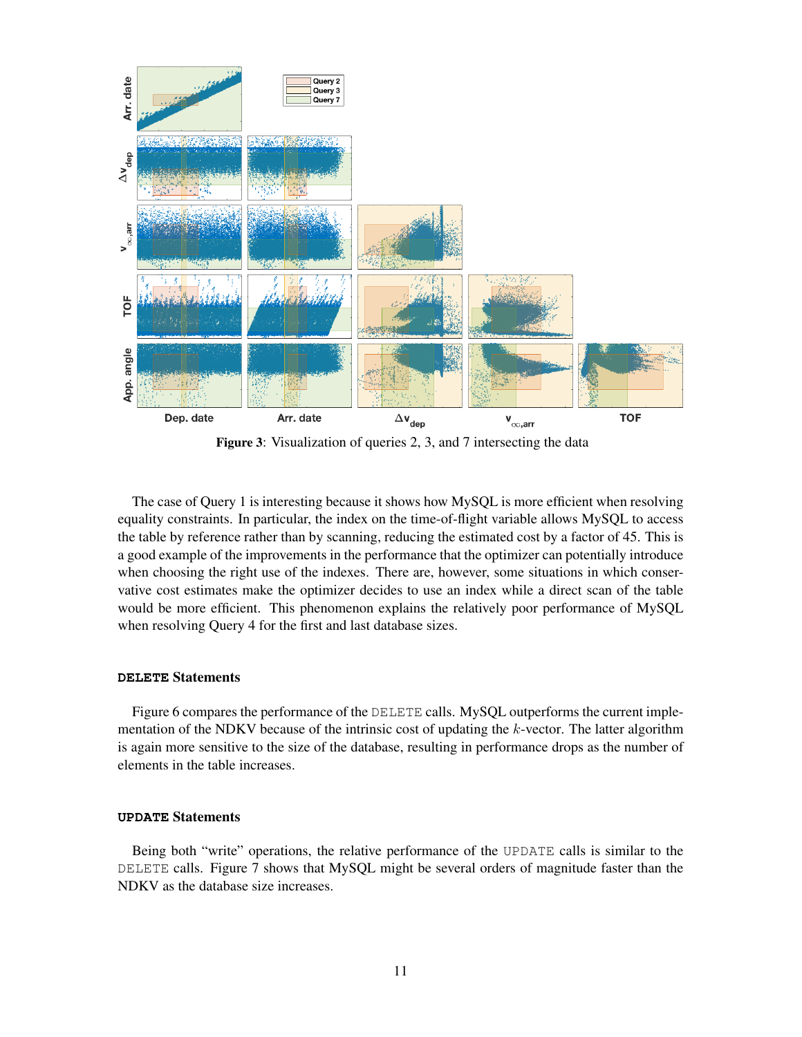

Figure 3: Visualization of queries 2, 3, and 7 intersecting the data

The case of Query 1 is interesting because it shows how MySQL is more efficient when resolving equality constraints. In particular, the index on the time-of-flight variable allows MySQL to access the table by reference rather than by scanning, reducing the estimated cost by a factor of 45. This is a good example of the improvements in the performance that the optimizer can potentially introduce when choosing the right use of the indexes. There are, however, some situations in which conservative cost estimates make the optimizer decides to use an index while a direct scan of the table would be more efficient. This phenomenon explains the relatively poor performance of MySQL when resolving Query 4 for the first and last database sizes.

#### **DELETE** Statements

Figure 6 compares the performance of the DELETE calls. MySQL outperforms the current implementation of the NDKV because of the intrinsic cost of updating the  $k$ -vector. The latter algorithm is again more sensitive to the size of the database, resulting in performance drops as the number of elements in the table increases.

#### **UPDATE** Statements

Being both "write" operations, the relative performance of the UPDATE calls is similar to the DELETE calls. Figure 7 shows that MySQL might be several orders of magnitude faster than the NDKV as the database size increases.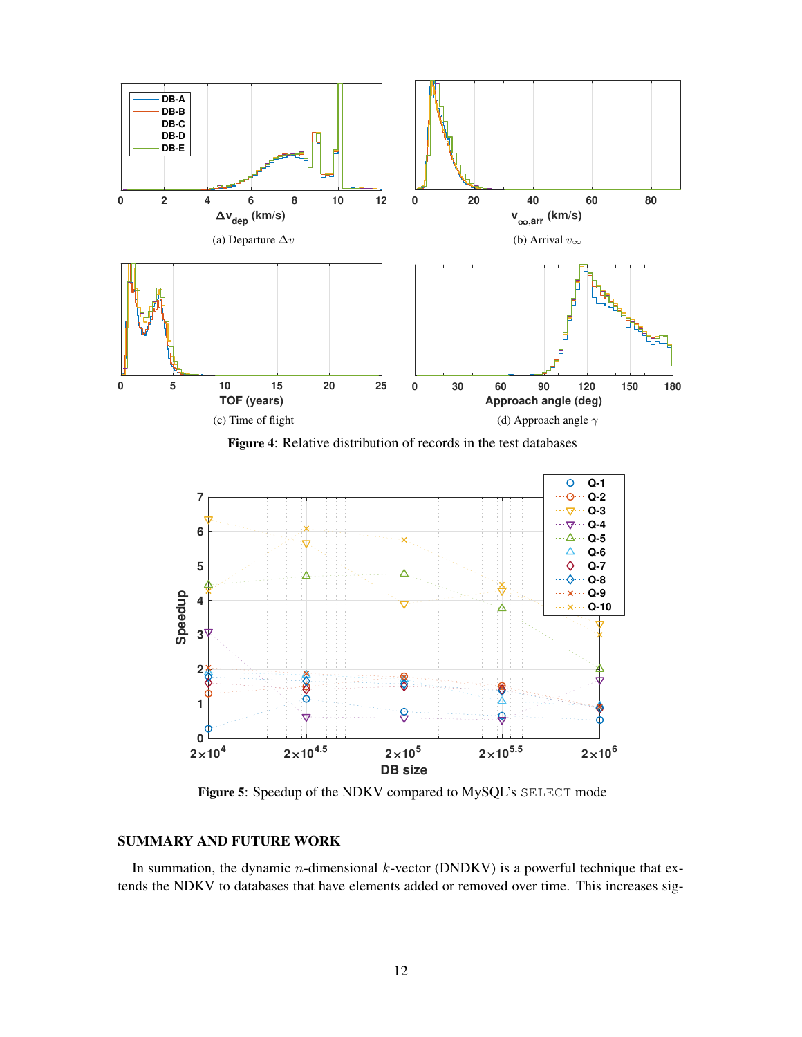

Figure 4: Relative distribution of records in the test databases



Figure 5: Speedup of the NDKV compared to MySQL's SELECT mode

### SUMMARY AND FUTURE WORK

In summation, the dynamic  $n$ -dimensional  $k$ -vector (DNDKV) is a powerful technique that extends the NDKV to databases that have elements added or removed over time. This increases sig-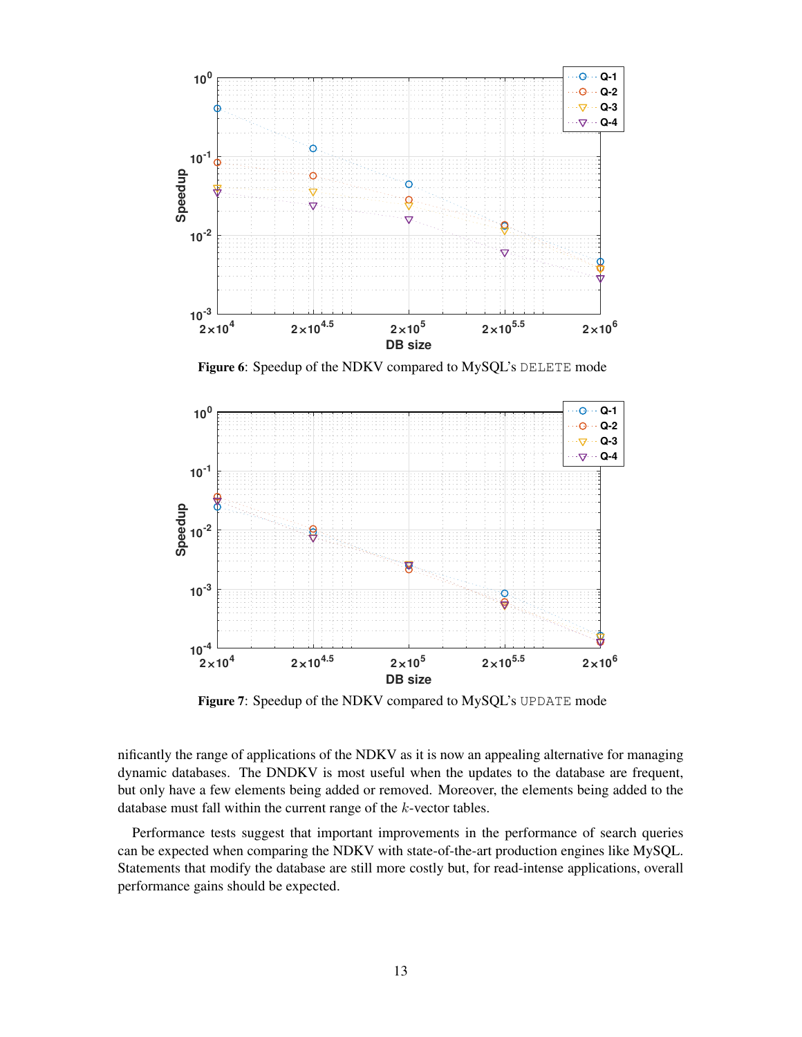

Figure 6: Speedup of the NDKV compared to MySQL's DELETE mode



Figure 7: Speedup of the NDKV compared to MySQL's UPDATE mode

nificantly the range of applications of the NDKV as it is now an appealing alternative for managing dynamic databases. The DNDKV is most useful when the updates to the database are frequent, but only have a few elements being added or removed. Moreover, the elements being added to the database must fall within the current range of the k-vector tables.

Performance tests suggest that important improvements in the performance of search queries can be expected when comparing the NDKV with state-of-the-art production engines like MySQL. Statements that modify the database are still more costly but, for read-intense applications, overall performance gains should be expected.